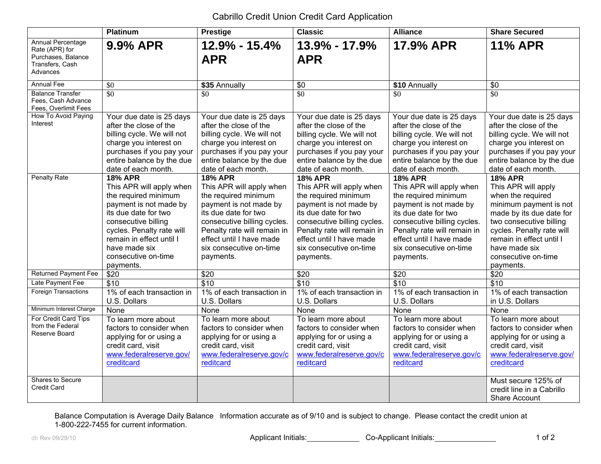## Cabrillo Credit Union Credit Card Application

|                                                                                                 | <b>Platinum</b>                                        | <b>Prestige</b>                                  | <b>Classic</b>                                   | <b>Alliance</b>                                  | <b>Share Secured</b>                             |
|-------------------------------------------------------------------------------------------------|--------------------------------------------------------|--------------------------------------------------|--------------------------------------------------|--------------------------------------------------|--------------------------------------------------|
| <b>Annual Percentage</b><br>Rate (APR) for<br>Purchases, Balance<br>Transfers, Cash<br>Advances | 9.9% APR                                               | $12.9\% - 15.4\%$<br><b>APR</b>                  | 13.9% - 17.9%<br><b>APR</b>                      | 17.9% APR                                        | <b>11% APR</b>                                   |
| <b>Annual Fee</b>                                                                               | \$0                                                    | \$35 Annually                                    | \$0                                              | \$10 Annually                                    | \$0                                              |
| <b>Balance Transfer</b><br>Fees, Cash Advance<br>Fees, Overlimit Fees                           | $\overline{30}$                                        | \$0                                              | $\overline{30}$                                  | \$0                                              | $\overline{30}$                                  |
| How To Avoid Paying<br>Interest                                                                 | Your due date is 25 days                               | Your due date is 25 days                         | Your due date is 25 days                         | Your due date is 25 days                         | Your due date is 25 days                         |
|                                                                                                 | after the close of the                                 | after the close of the                           | after the close of the                           | after the close of the                           | after the close of the                           |
|                                                                                                 | billing cycle. We will not                             | billing cycle. We will not                       | billing cycle. We will not                       | billing cycle. We will not                       | billing cycle. We will not                       |
|                                                                                                 | charge you interest on                                 | charge you interest on                           | charge you interest on                           | charge you interest on                           | charge you interest on                           |
|                                                                                                 | purchases if you pay your<br>entire balance by the due | purchases if you pay your                        | purchases if you pay your                        | purchases if you pay your                        | purchases if you pay your                        |
|                                                                                                 | date of each month.                                    | entire balance by the due<br>date of each month. | entire balance by the due<br>date of each month. | entire balance by the due<br>date of each month. | entire balance by the due<br>date of each month. |
| <b>Penalty Rate</b>                                                                             | <b>18% APR</b>                                         | <b>18% APR</b>                                   | <b>18% APR</b>                                   | <b>18% APR</b>                                   | <b>18% APR</b>                                   |
|                                                                                                 | This APR will apply when                               | This APR will apply when                         | This APR will apply when                         | This APR will apply when                         | This APR will apply                              |
|                                                                                                 | the required minimum                                   | the required minimum                             | the required minimum                             | the required minimum                             | when the required                                |
|                                                                                                 | payment is not made by                                 | payment is not made by                           | payment is not made by                           | payment is not made by                           | minimum payment is not                           |
|                                                                                                 | its due date for two                                   | its due date for two                             | its due date for two                             | its due date for two                             | made by its due date for                         |
|                                                                                                 | consecutive billing                                    | consecutive billing cycles.                      | consecutive billing cycles.                      | consecutive billing cycles.                      | two consecutive billing                          |
|                                                                                                 | cycles. Penalty rate will                              | Penalty rate will remain in                      | Penalty rate will remain in                      | Penalty rate will remain in                      | cycles. Penalty rate will                        |
|                                                                                                 | remain in effect until I                               | effect until I have made                         | effect until I have made                         | effect until I have made                         | remain in effect until I                         |
|                                                                                                 | have made six                                          | six consecutive on-time                          | six consecutive on-time                          | six consecutive on-time                          | have made six                                    |
|                                                                                                 | consecutive on-time                                    | payments.                                        | payments.                                        | payments.                                        | consecutive on-time                              |
|                                                                                                 | payments.                                              |                                                  |                                                  |                                                  | payments.                                        |
| <b>Returned Payment Fee</b>                                                                     | \$20                                                   | \$20                                             | \$20                                             | \$20                                             | \$20                                             |
| Late Payment Fee                                                                                | \$10                                                   | \$10                                             | \$10                                             | \$10                                             | \$10                                             |
| <b>Foreign Transactions</b>                                                                     | 1% of each transaction in                              | 1% of each transaction in                        | 1% of each transaction in                        | 1% of each transaction in                        | 1% of each transaction                           |
|                                                                                                 | U.S. Dollars                                           | U.S. Dollars                                     | U.S. Dollars                                     | U.S. Dollars                                     | in U.S. Dollars                                  |
| Minimum Interest Charge                                                                         | None                                                   | None                                             | None                                             | None                                             | None                                             |
| For Credit Card Tips                                                                            | To learn more about                                    | To learn more about                              | To learn more about                              | To learn more about                              | To learn more about                              |
| from the Federal<br>Reserve Board                                                               | factors to consider when                               | factors to consider when                         | factors to consider when                         | factors to consider when                         | factors to consider when                         |
|                                                                                                 | applying for or using a                                | applying for or using a                          | applying for or using a                          | applying for or using a                          | applying for or using a                          |
|                                                                                                 | credit card, visit                                     | credit card, visit                               | credit card, visit                               | credit card, visit                               | credit card, visit                               |
|                                                                                                 | www.federalreserve.gov/                                | www.federalreserve.gov/c                         | www.federalreserve.gov/c                         | www.federalreserve.gov/c                         | www.federalreserve.gov/                          |
|                                                                                                 | creditcard                                             | reditcard                                        | reditcard                                        | reditcard                                        | creditcard                                       |
| Shares to Secure                                                                                |                                                        |                                                  |                                                  |                                                  | Must secure 125% of                              |
| <b>Credit Card</b>                                                                              |                                                        |                                                  |                                                  |                                                  | credit line in a Cabrillo                        |
|                                                                                                 |                                                        |                                                  |                                                  |                                                  | Share Account                                    |

Balance Computation is Average Daily Balance Information accurate as of 9/10 and is subject to change. Please contact the credit union at 1-800-222-7455 for current information.